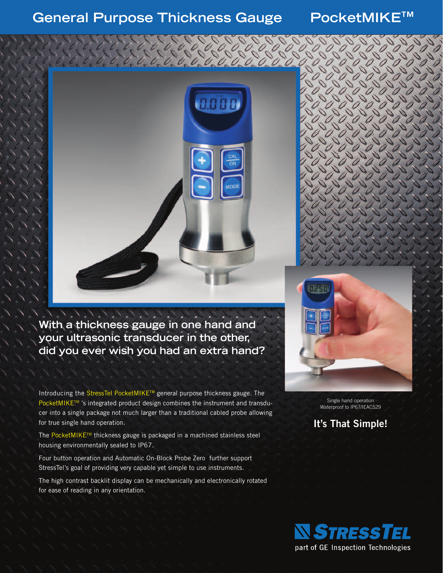**General Purpose Thickness Gauge PocketMIKE™**



**With a thickness gauge in one hand and your ultrasonic transducer in the other, did you ever wish you had an extra hand?**

Introducing the StressTel PocketMIKETM general purpose thickness gauge. The PocketMIKE™ 's integrated product design combines the instrument and transducer into a single package not much larger than a traditional cabled probe allowing for true single hand operation.

The PocketMIKE™ thickness gauge is packaged in a machined stainless steel housing environmentally sealed to IP67.

Four button operation and Automatic On-Block Probe Zero further support StressTel's goal of providing very capable yet simple to use instruments.

The high contrast backlit display can be mechanically and electronically rotated for ease of reading in any orientation.



Single hand operation Waterproof to IP67/IEAC529

**It's That Simple!**